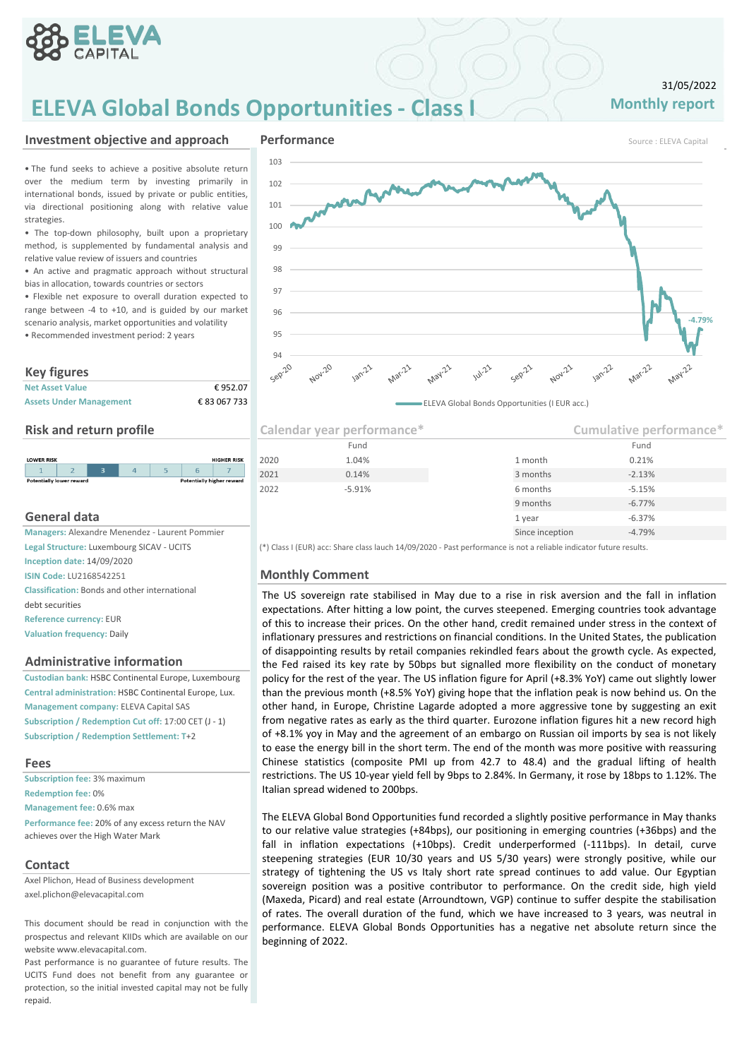

## **ELEVA Global Bonds Opportunities - Class I**

### 31/05/2022 **Monthly report**

• The fund seeks to achieve a positive absolute return over the medium term by investing primarily in international bonds, issued by private or public entities, via directional positioning along with relative value strategies.

• The top-down philosophy, built upon a proprietary method, is supplemented by fundamental analysis and relative value review of issuers and countries

• An active and pragmatic approach without structural bias in allocation, towards countries or sectors

• Flexible net exposure to overall duration expected to range between -4 to +10, and is guided by our market scenario analysis, market opportunities and volatility

• Recommended investment period: 2 years

### **Key figures**

| <b>Net Asset Value</b>         | €952.07      |
|--------------------------------|--------------|
| <b>Assets Under Management</b> | € 83 067 733 |

### **Risk and return profile**

| <b>LOWER RISK</b>               |  |  |                                  | <b>HIGHER RISK</b> |
|---------------------------------|--|--|----------------------------------|--------------------|
|                                 |  |  |                                  |                    |
| <b>Potentially lower reward</b> |  |  | <b>Potentially higher reward</b> |                    |

### **General data**

**Managers: Alexandre Menendez - Laurent Pommier Legal Structure:** Luxembourg SICAV - UCITS **Inception date:** 14/09/2020 **ISIN Code: LU2168542251 Monthly Comment Classification:** Bonds and other international debt securities **Reference currency:** EUR **Valuation frequency:** Daily

### **Administrative information**

**Custodian bank:** HSBC Continental Europe, Luxembourg **Central administration:** HSBC Continental Europe, Lux. **Management company:** ELEVA Capital SAS **Subscription / Redemption Cut off:** 17:00 CET (J - 1) **Subscription / Redemption Settlement: T**+2

### **Fees**

**Subscription fee:** 3% maximum **Redemption fee:** 0% **Management fee:** 0.6% max **Performance fee:** 20% of any excess return the NAV achieves over the High Water Mark

### **Contact**

Axel Plichon, Head of Business development axel.plichon@elevacapital.com

This document should be read in conjunction with the prospectus and relevant KIIDs which are available on our website www.elevacapital.com.

Past performance is no guarantee of future results. The UCITS Fund does not benefit from any guarantee or protection, so the initial invested capital may not be fully repaid.



| Calendar year performance* |          |                 | Cumulative performance* |  |
|----------------------------|----------|-----------------|-------------------------|--|
|                            | Fund     |                 | Fund                    |  |
| 2020                       | 1.04%    | 1 month         | 0.21%                   |  |
| 2021                       | 0.14%    | 3 months        | $-2.13%$                |  |
| 2022                       | $-5.91%$ | 6 months        | $-5.15%$                |  |
|                            |          | 9 months        | $-6.77%$                |  |
|                            |          | 1 year          | $-6.37%$                |  |
|                            |          | Since inception | $-4.79%$                |  |

(\*) Class I (EUR) acc: Share class lauch 14/09/2020 - Past performance is not a reliable indicator future results.

The US sovereign rate stabilised in May due to a rise in risk aversion and the fall in inflation expectations. After hitting a low point, the curves steepened. Emerging countries took advantage of this to increase their prices. On the other hand, credit remained under stress in the context of inflationary pressures and restrictions on financial conditions. In the United States, the publication of disappointing results by retail companies rekindled fears about the growth cycle. As expected, the Fed raised its key rate by 50bps but signalled more flexibility on the conduct of monetary policy for the rest of the year. The US inflation figure for April (+8.3% YoY) came out slightly lower than the previous month (+8.5% YoY) giving hope that the inflation peak is now behind us. On the other hand, in Europe, Christine Lagarde adopted a more aggressive tone by suggesting an exit from negative rates as early as the third quarter. Eurozone inflation figures hit a new record high of +8.1% yoy in May and the agreement of an embargo on Russian oil imports by sea is not likely to ease the energy bill in the short term. The end of the month was more positive with reassuring Chinese statistics (composite PMI up from 42.7 to 48.4) and the gradual lifting of health restrictions. The US 10-year yield fell by 9bps to 2.84%. In Germany, it rose by 18bps to 1.12%. The Italian spread widened to 200bps.

The ELEVA Global Bond Opportunities fund recorded a slightly positive performance in May thanks to our relative value strategies (+84bps), our positioning in emerging countries (+36bps) and the fall in inflation expectations (+10bps). Credit underperformed (-111bps). In detail, curve steepening strategies (EUR 10/30 years and US 5/30 years) were strongly positive, while our strategy of tightening the US vs Italy short rate spread continues to add value. Our Egyptian sovereign position was a positive contributor to performance. On the credit side, high yield (Maxeda, Picard) and real estate (Arroundtown, VGP) continue to suffer despite the stabilisation of rates. The overall duration of the fund, which we have increased to 3 years, was neutral in performance. ELEVA Global Bonds Opportunities has a negative net absolute return since the beginning of 2022.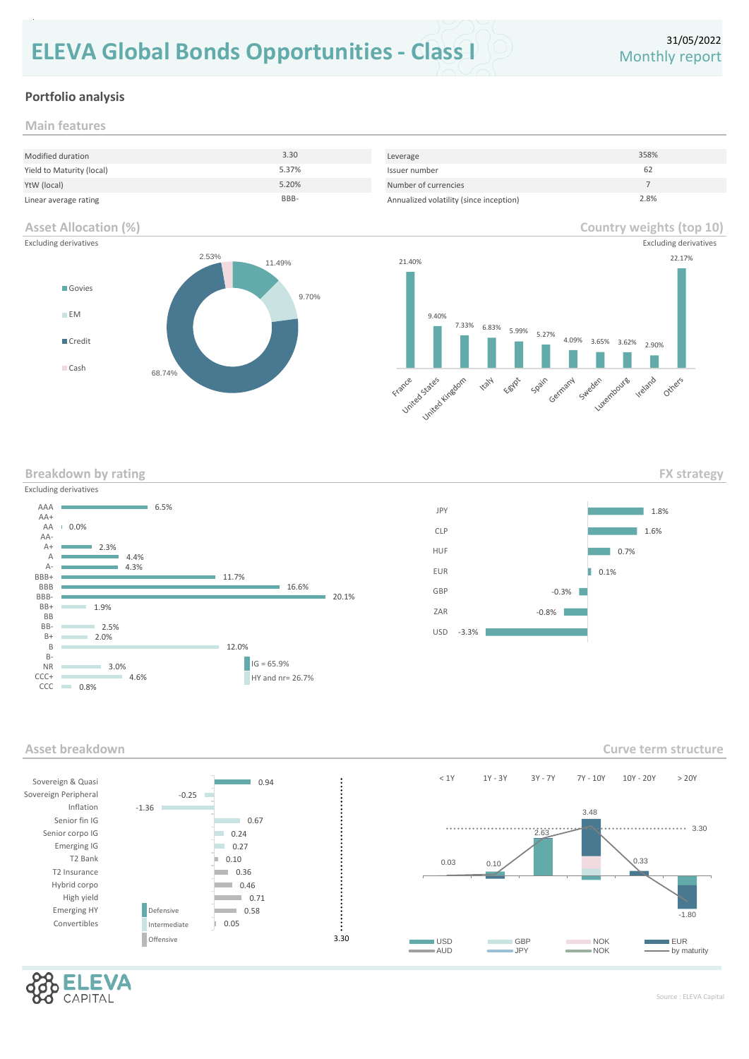# **ELEVA Global Bonds Opportunities - Class I**

**Country weights (top 10)**

### **Portfolio analysis**

**Main features**

repaid.

| Modified duration         | 3.30  | Leverage                                | 358% |
|---------------------------|-------|-----------------------------------------|------|
| Yield to Maturity (local) | 5.37% | Issuer number                           | 62   |
| YtW (local)               | 5.20% | Number of currencies                    |      |
| Linear average rating     | BBB-  | Annualized volatility (since inception) | 2.8% |

### **Asset Allocation (%)**



| <b>Excluding derivatives</b> |                 |                               | <b>Excluding derivatives</b>                                         |
|------------------------------|-----------------|-------------------------------|----------------------------------------------------------------------|
|                              | 2.53%<br>11.49% | 21.40%                        | 22.17%                                                               |
| Govies                       | 9.70%           |                               |                                                                      |
| E M                          |                 | 9.40%                         |                                                                      |
| Credit<br>Cash               |                 | 7.33%<br>6.83%<br>5.99% 5.27% | 4.09% 3.65% 3.62%<br>2.90%                                           |
|                              | 68.74%          | 11014<br>France cances Assess | Eastlet Spain Germany Sweden Luxempoures<br><b>ITE</b> and<br>Others |

**Breakdown by rating** 





**Curve term structure**

**FX strategy**